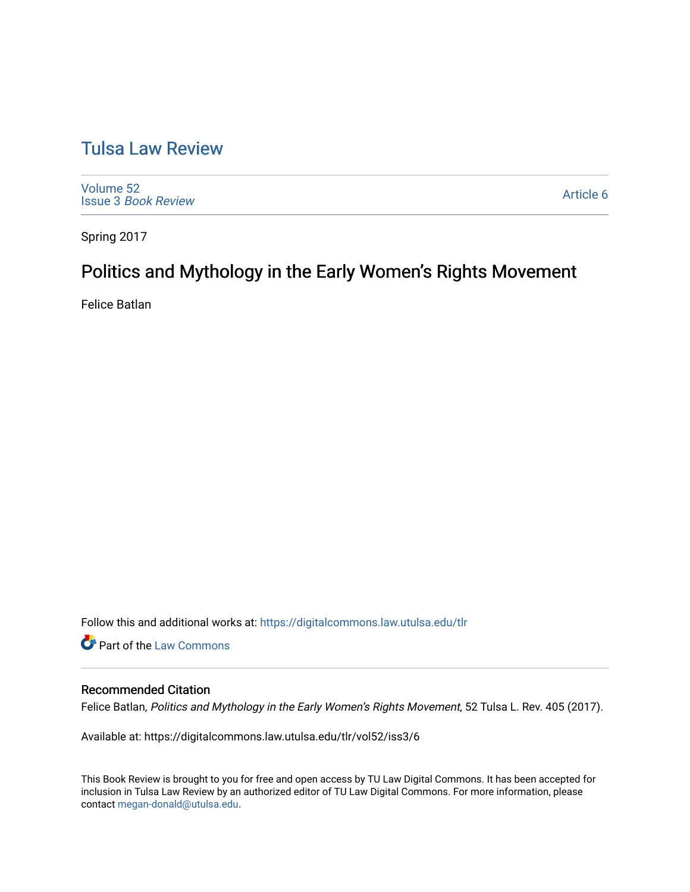# [Tulsa Law Review](https://digitalcommons.law.utulsa.edu/tlr)

[Volume 52](https://digitalcommons.law.utulsa.edu/tlr/vol52) Issue 3 [Book Review](https://digitalcommons.law.utulsa.edu/tlr/vol52/iss3)

[Article 6](https://digitalcommons.law.utulsa.edu/tlr/vol52/iss3/6) 

Spring 2017

# Politics and Mythology in the Early Women's Rights Movement

Felice Batlan

Follow this and additional works at: [https://digitalcommons.law.utulsa.edu/tlr](https://digitalcommons.law.utulsa.edu/tlr?utm_source=digitalcommons.law.utulsa.edu%2Ftlr%2Fvol52%2Fiss3%2F6&utm_medium=PDF&utm_campaign=PDFCoverPages) 

**C** Part of the [Law Commons](http://network.bepress.com/hgg/discipline/578?utm_source=digitalcommons.law.utulsa.edu%2Ftlr%2Fvol52%2Fiss3%2F6&utm_medium=PDF&utm_campaign=PDFCoverPages)

### Recommended Citation

Felice Batlan, Politics and Mythology in the Early Women's Rights Movement, 52 Tulsa L. Rev. 405 (2017).

Available at: https://digitalcommons.law.utulsa.edu/tlr/vol52/iss3/6

This Book Review is brought to you for free and open access by TU Law Digital Commons. It has been accepted for inclusion in Tulsa Law Review by an authorized editor of TU Law Digital Commons. For more information, please contact [megan-donald@utulsa.edu.](mailto:megan-donald@utulsa.edu)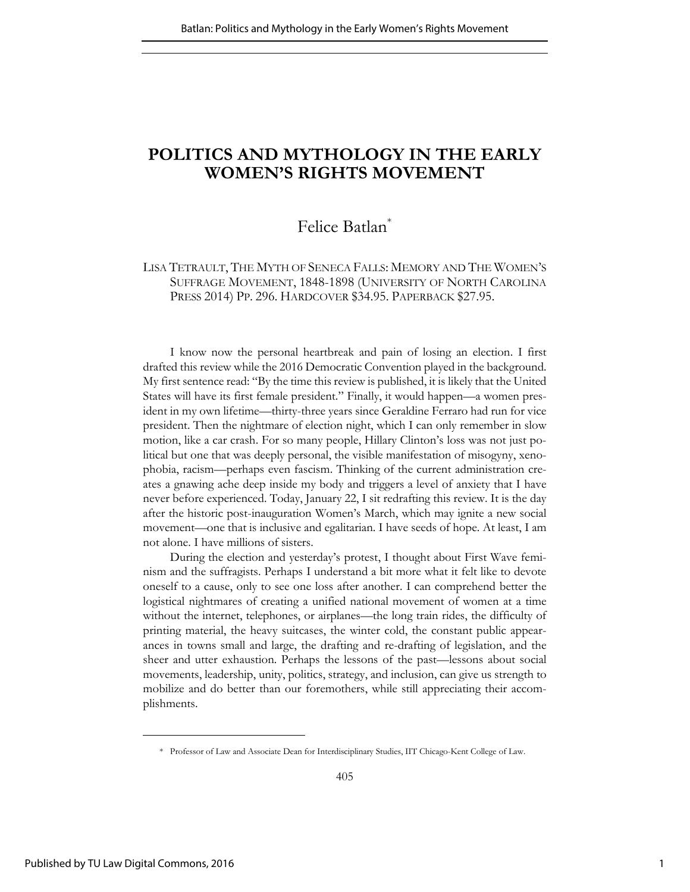## **POLITICS AND MYTHOLOGY IN THE EARLY WOMEN'S RIGHTS MOVEMENT**

## Felice Batlan\*

### LISA TETRAULT, THE MYTH OF SENECA FALLS: MEMORY AND THE WOMEN'S SUFFRAGE MOVEMENT, 1848-1898 (UNIVERSITY OF NORTH CAROLINA PRESS 2014) PP. 296. HARDCOVER \$34.95. PAPERBACK \$27.95.

I know now the personal heartbreak and pain of losing an election. I first drafted this review while the 2016 Democratic Convention played in the background. My first sentence read: "By the time this review is published, it is likely that the United States will have its first female president." Finally, it would happen—a women president in my own lifetime—thirty-three years since Geraldine Ferraro had run for vice president. Then the nightmare of election night, which I can only remember in slow motion, like a car crash. For so many people, Hillary Clinton's loss was not just political but one that was deeply personal, the visible manifestation of misogyny, xenophobia, racism—perhaps even fascism. Thinking of the current administration creates a gnawing ache deep inside my body and triggers a level of anxiety that I have never before experienced. Today, January 22, I sit redrafting this review. It is the day after the historic post-inauguration Women's March, which may ignite a new social movement—one that is inclusive and egalitarian. I have seeds of hope. At least, I am not alone. I have millions of sisters.

During the election and yesterday's protest, I thought about First Wave feminism and the suffragists. Perhaps I understand a bit more what it felt like to devote oneself to a cause, only to see one loss after another. I can comprehend better the logistical nightmares of creating a unified national movement of women at a time without the internet, telephones, or airplanes—the long train rides, the difficulty of printing material, the heavy suitcases, the winter cold, the constant public appearances in towns small and large, the drafting and re-drafting of legislation, and the sheer and utter exhaustion. Perhaps the lessons of the past—lessons about social movements, leadership, unity, politics, strategy, and inclusion, can give us strength to mobilize and do better than our foremothers, while still appreciating their accomplishments.

 <sup>\*</sup> Professor of Law and Associate Dean for Interdisciplinary Studies, IIT Chicago-Kent College of Law.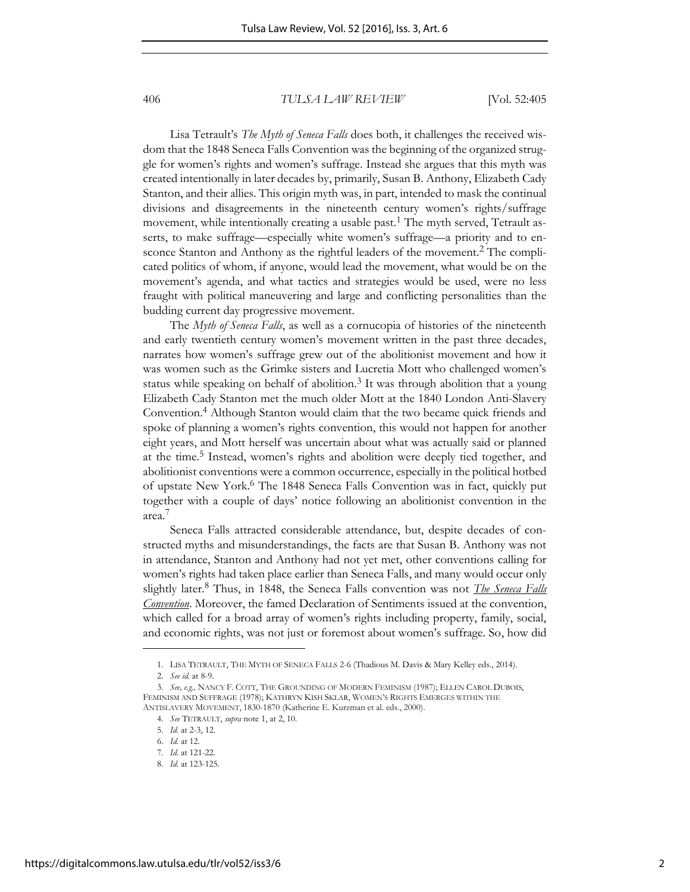#### 406 *TULSA LAW REVIEW* [Vol. 52:405

Lisa Tetrault's *The Myth of Seneca Falls* does both, it challenges the received wisdom that the 1848 Seneca Falls Convention was the beginning of the organized struggle for women's rights and women's suffrage. Instead she argues that this myth was created intentionally in later decades by, primarily, Susan B. Anthony, Elizabeth Cady Stanton, and their allies. This origin myth was, in part, intended to mask the continual divisions and disagreements in the nineteenth century women's rights/suffrage movement, while intentionally creating a usable past.<sup>1</sup> The myth served, Tetrault asserts, to make suffrage—especially white women's suffrage—a priority and to ensconce Stanton and Anthony as the rightful leaders of the movement.<sup>2</sup> The complicated politics of whom, if anyone, would lead the movement, what would be on the movement's agenda, and what tactics and strategies would be used, were no less fraught with political maneuvering and large and conflicting personalities than the budding current day progressive movement.

The *Myth of Seneca Falls*, as well as a cornucopia of histories of the nineteenth and early twentieth century women's movement written in the past three decades, narrates how women's suffrage grew out of the abolitionist movement and how it was women such as the Grimke sisters and Lucretia Mott who challenged women's status while speaking on behalf of abolition. $3$  It was through abolition that a young Elizabeth Cady Stanton met the much older Mott at the 1840 London Anti-Slavery Convention.<sup>4</sup> Although Stanton would claim that the two became quick friends and spoke of planning a women's rights convention, this would not happen for another eight years, and Mott herself was uncertain about what was actually said or planned at the time.<sup>5</sup> Instead, women's rights and abolition were deeply tied together, and abolitionist conventions were a common occurrence, especially in the political hotbed of upstate New York.<sup>6</sup> The 1848 Seneca Falls Convention was in fact, quickly put together with a couple of days' notice following an abolitionist convention in the area.<sup>7</sup>

Seneca Falls attracted considerable attendance, but, despite decades of constructed myths and misunderstandings, the facts are that Susan B. Anthony was not in attendance, Stanton and Anthony had not yet met, other conventions calling for women's rights had taken place earlier than Seneca Falls, and many would occur only slightly later.<sup>8</sup> Thus, in 1848, the Seneca Falls convention was not *The Seneca Falls Convention*. Moreover, the famed Declaration of Sentiments issued at the convention, which called for a broad array of women's rights including property, family, social, and economic rights, was not just or foremost about women's suffrage. So, how did

<sup>1.</sup> LISA TETRAULT, THE MYTH OF SENECA FALLS 2-6 (Thadious M. Davis & Mary Kelley eds., 2014).

<sup>2.</sup> *See id.* at 8-9.

<sup>3.</sup> *See, e.g.,* NANCY F. COTT, THE GROUNDING OF MODERN FEMINISM (1987); ELLEN CAROL DUBOIS, FEMINISM AND SUFFRAGE (1978); KATHRYN KISH SKLAR, WOMEN'S RIGHTS EMERGES WITHIN THE ANTISLAVERY MOVEMENT, 1830-1870 (Katherine E. Kurzman et al. eds., 2000).

<sup>4.</sup> *See* TETRAULT, *supra* note 1, at 2, 10.

<sup>5.</sup> *Id.* at 2-3, 12.

<sup>6.</sup> *Id.* at 12.

<sup>7.</sup> *Id.* at 121-22.

<sup>8.</sup> *Id.* at 123-125.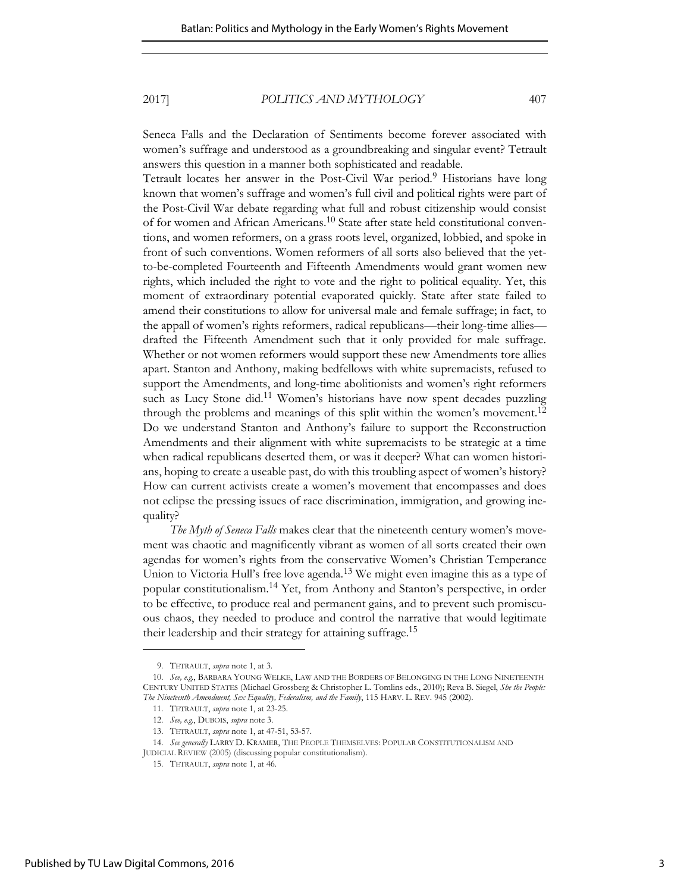2017] *POLITICS AND MYTHOLOGY* 407

Seneca Falls and the Declaration of Sentiments become forever associated with women's suffrage and understood as a groundbreaking and singular event? Tetrault answers this question in a manner both sophisticated and readable.

Tetrault locates her answer in the Post-Civil War period.<sup>9</sup> Historians have long known that women's suffrage and women's full civil and political rights were part of the Post-Civil War debate regarding what full and robust citizenship would consist of for women and African Americans.<sup>10</sup> State after state held constitutional conventions, and women reformers, on a grass roots level, organized, lobbied, and spoke in front of such conventions. Women reformers of all sorts also believed that the yetto-be-completed Fourteenth and Fifteenth Amendments would grant women new rights, which included the right to vote and the right to political equality. Yet, this moment of extraordinary potential evaporated quickly. State after state failed to amend their constitutions to allow for universal male and female suffrage; in fact, to the appall of women's rights reformers, radical republicans—their long-time allies drafted the Fifteenth Amendment such that it only provided for male suffrage. Whether or not women reformers would support these new Amendments tore allies apart. Stanton and Anthony, making bedfellows with white supremacists, refused to support the Amendments, and long-time abolitionists and women's right reformers such as Lucy Stone did.<sup>11</sup> Women's historians have now spent decades puzzling through the problems and meanings of this split within the women's movement.<sup>12</sup> Do we understand Stanton and Anthony's failure to support the Reconstruction Amendments and their alignment with white supremacists to be strategic at a time when radical republicans deserted them, or was it deeper? What can women historians, hoping to create a useable past, do with this troubling aspect of women's history? How can current activists create a women's movement that encompasses and does not eclipse the pressing issues of race discrimination, immigration, and growing inequality?

*The Myth of Seneca Falls* makes clear that the nineteenth century women's movement was chaotic and magnificently vibrant as women of all sorts created their own agendas for women's rights from the conservative Women's Christian Temperance Union to Victoria Hull's free love agenda.<sup>13</sup> We might even imagine this as a type of popular constitutionalism.<sup>14</sup> Yet, from Anthony and Stanton's perspective, in order to be effective, to produce real and permanent gains, and to prevent such promiscuous chaos, they needed to produce and control the narrative that would legitimate their leadership and their strategy for attaining suffrage.<sup>15</sup>

<sup>9.</sup> TETRAULT, *supra* note 1, at 3.

<sup>10.</sup> *See, e.g.*, BARBARA YOUNG WELKE, LAW AND THE BORDERS OF BELONGING IN THE LONG NINETEENTH CENTURY UNITED STATES (Michael Grossberg & Christopher L. Tomlins eds., 2010); Reva B. Siegel, *She the People: The Nineteenth Amendment, Sex Equality, Federalism, and the Family*, 115 HARV. L. REV. 945 (2002).

<sup>11.</sup> TETRAULT, *supra* note 1, at 23-25.

<sup>12.</sup> *See, e.g.*, DUBOIS, *supra* note 3.

<sup>13.</sup> TETRAULT, *supra* note 1, at 47-51, 53-57.

<sup>14.</sup> *See generally* LARRY D. KRAMER, THE PEOPLE THEMSELVES: POPULAR CONSTITUTIONALISM AND JUDICIAL REVIEW (2005) (discussing popular constitutionalism).

<sup>15.</sup> TETRAULT, *supra* note 1, at 46.